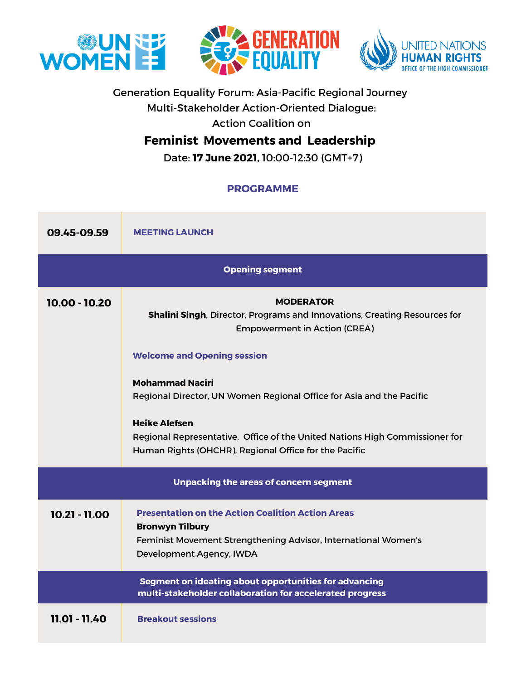





# Generation Equality Forum: Asia-Pacific Regional Journey

Multi-Stakeholder Action-Oriented Dialogue:

Action Coalition on

# **Feminist Movements and Leadership**

Date: **17 June 2021,** 10:00-12:30 (GMT+7)

## **PROGRAMME**

| 09.45-09.59                                                                                                       | <b>MEETING LAUNCH</b>                                                                                                                                                                                                                                                                                                                                                                                                                        |
|-------------------------------------------------------------------------------------------------------------------|----------------------------------------------------------------------------------------------------------------------------------------------------------------------------------------------------------------------------------------------------------------------------------------------------------------------------------------------------------------------------------------------------------------------------------------------|
| <b>Opening segment</b>                                                                                            |                                                                                                                                                                                                                                                                                                                                                                                                                                              |
| 10.00 - 10.20                                                                                                     | <b>MODERATOR</b><br>Shalini Singh, Director, Programs and Innovations, Creating Resources for<br><b>Empowerment in Action (CREA)</b><br><b>Welcome and Opening session</b><br><b>Mohammad Naciri</b><br>Regional Director, UN Women Regional Office for Asia and the Pacific<br><b>Heike Alefsen</b><br>Regional Representative, Office of the United Nations High Commissioner for<br>Human Rights (OHCHR), Regional Office for the Pacific |
| <b>Unpacking the areas of concern segment</b>                                                                     |                                                                                                                                                                                                                                                                                                                                                                                                                                              |
| 10.21 - 11.00                                                                                                     | <b>Presentation on the Action Coalition Action Areas</b><br><b>Bronwyn Tilbury</b><br>Feminist Movement Strengthening Advisor, International Women's<br>Development Agency, IWDA                                                                                                                                                                                                                                                             |
| Segment on ideating about opportunities for advancing<br>multi-stakeholder collaboration for accelerated progress |                                                                                                                                                                                                                                                                                                                                                                                                                                              |
| 11.01 - 11.40                                                                                                     | <b>Breakout sessions</b>                                                                                                                                                                                                                                                                                                                                                                                                                     |